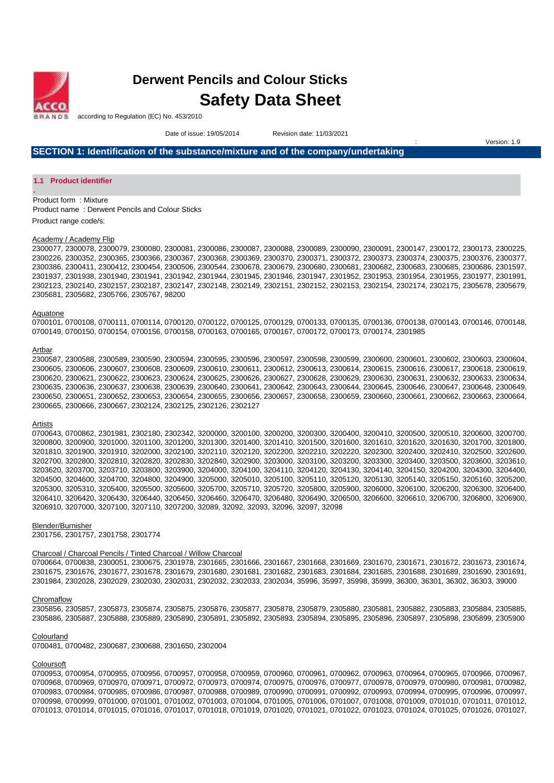

**.** 

# **Derwent Pencils and Colour Sticks Safety Data Sheet**

according to Regulation (EC) No. 453/2010

Date of issue: 19/05/2014Revision date: 11/03/2021

Version: 1.9

**SECTION 1: Identification of the substance/mixture and of the company/undertaking** 

#### **1.1 Product identifier**

Product form : Mixture Product name : Derwent Pencils and Colour Sticks Product range code/s:

#### Academy / Academy Flip

2300077, 2300078, 2300079, 2300080, 2300081, 2300086, 2300087, 2300088, 2300089, 2300090, 2300091, 2300147, 2300172, 2300173, 2300225, 2300226, 2300352, 2300365, 2300366, 2300367, 2300368, 2300369, 2300370, 2300371, 2300372, 2300373, 2300374, 2300375, 2300376, 2300377, 2300386, 2300411, 2300412, 2300454, 2300506, 2300544, 2300678, 2300679, 2300680, 2300681, 2300682, 2300683, 2300685, 2300686, 2301597, 2301937, 2301938, 2301940, 2301941, 2301942, 2301944, 2301945, 2301946, 2301947, 2301952, 2301953, 2301954, 2301955, 2301977, 2301991, 2302123, 2302140, 2302157, 2302187, 2302147, 2302148, 2302149, 2302151, 2302152, 2302153, 2302154, 2302174, 2302175, 2305678, 2305679, 2305681, 2305682, 2305766, 2305767, 98200

#### Aquatone

0700101, 0700108, 0700111, 0700114, 0700120, 0700122, 0700125, 0700129, 0700133, 0700135, 0700136, 0700138, 0700143, 0700146, 0700148, 0700149, 0700150, 0700154, 0700156, 0700158, 0700163, 0700165, 0700167, 0700172, 0700173, 0700174, 2301985

#### Artbar

2300587, 2300588, 2300589, 2300590, 2300594, 2300595, 2300596, 2300597, 2300598, 2300599, 2300600, 2300601, 2300602, 2300603, 2300604, 2300605, 2300606, 2300607, 2300608, 2300609, 2300610, 2300611, 2300612, 2300613, 2300614, 2300615, 2300616, 2300617, 2300618, 2300619, 2300620, 2300621, 2300622, 2300623, 2300624, 2300625, 2300626, 2300627, 2300628, 2300629, 2300630, 2300631, 2300632, 2300633, 2300634, 2300635, 2300636, 2300637, 2300638, 2300639, 2300640, 2300641, 2300642, 2300643, 2300644, 2300645, 2300646, 2300647, 2300648, 2300649, 2300650, 2300651, 2300652, 2300653, 2300654, 2300655, 2300656, 2300657, 2300658, 2300659, 2300660, 2300661, 2300662, 2300663, 2300664, 2300665, 2300666, 2300667, 2302124, 2302125, 2302126, 2302127

#### Artists

0700643, 0700862, 2301981, 2302180, 2302342, 3200000, 3200100, 3200200, 3200300, 3200400, 3200410, 3200500, 3200510, 3200600, 3200700, 3200800, 3200900, 3201000, 3201100, 3201200, 3201300, 3201400, 3201410, 3201500, 3201600, 3201610, 3201620, 3201630, 3201700, 3201800, 3201810, 3201900, 3201910, 3202000, 3202100, 3202110, 3202120, 3202200, 3202210, 3202220, 3202300, 3202400, 3202410, 3202500, 3202600, 3202700, 3202800, 3202810, 3202820, 3202830, 3202840, 3202900, 3203000, 3203100, 3203200, 3203300, 3203400, 3203500, 3203600, 3203610, 3203620, 3203700, 3203710, 3203800, 3203900, 3204000, 3204100, 3204110, 3204120, 3204130, 3204140, 3204150, 3204200, 3204300, 3204400, 3204500, 3204600, 3204700, 3204800, 3204900, 3205000, 3205010, 3205100, 3205110, 3205120, 3205130, 3205140, 3205150, 3205160, 3205200, 3205300, 3205310, 3205400, 3205500, 3205600, 3205700, 3205710, 3205720, 3205800, 3205900, 3206000, 3206100, 3206200, 3206300, 3206400, 3206410, 3206420, 3206430, 3206440, 3206450, 3206460, 3206470, 3206480, 3206490, 3206500, 3206600, 3206610, 3206700, 3206800, 3206900, 3206910, 3207000, 3207100, 3207110, 3207200, 32089, 32092, 32093, 32096, 32097, 32098

#### Blender/Burnisher

2301756, 2301757, 2301758, 2301774

#### Charcoal / Charcoal Pencils / Tinted Charcoal / Willow Charcoal

0700664, 0700838, 2300051, 2300675, 2301978, 2301665, 2301666, 2301667, 2301668, 2301669, 2301670, 2301671, 2301672, 2301673, 2301674, 2301675, 2301676, 2301677, 2301678, 2301679, 2301680, 2301681, 2301682, 2301683, 2301684, 2301685, 2301688, 2301689, 2301690, 2301691, 2301984, 2302028, 2302029, 2302030, 2302031, 2302032, 2302033, 2302034, 35996, 35997, 35998, 35999, 36300, 36301, 36302, 36303, 39000

#### **Chromaflow**

2305856, 2305857, 2305873, 2305874, 2305875, 2305876, 2305877, 2305878, 2305879, 2305880, 2305881, 2305882, 2305883, 2305884, 2305885, 2305886, 2305887, 2305888, 2305889, 2305890, 2305891, 2305892, 2305893, 2305894, 2305895, 2305896, 2305897, 2305898, 2305899, 2305900

#### Colourland

0700481, 0700482, 2300687, 2300688, 2301650, 2302004

#### **Coloursoft**

0700953, 0700954, 0700955, 0700956, 0700957, 0700958, 0700959, 0700960, 0700961, 0700962, 0700963, 0700964, 0700965, 0700966, 0700967, 0700968, 0700969, 0700970, 0700971, 0700972, 0700973, 0700974, 0700975, 0700976, 0700977, 0700978, 0700979, 0700980, 0700981, 0700982, 0700983, 0700984, 0700985, 0700986, 0700987, 0700988, 0700989, 0700990, 0700991, 0700992, 0700993, 0700994, 0700995, 0700996, 0700997, 0700998, 0700999, 0701000, 0701001, 0701002, 0701003, 0701004, 0701005, 0701006, 0701007, 0701008, 0701009, 0701010, 0701011, 0701012, 0701013, 0701014, 0701015, 0701016, 0701017, 0701018, 0701019, 0701020, 0701021, 0701022, 0701023, 0701024, 0701025, 0701026, 0701027,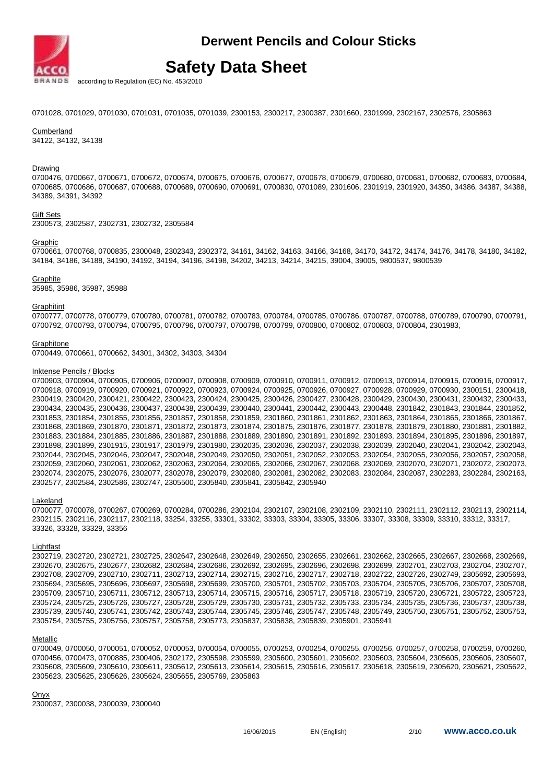

according to Regulation (EC) No. 453/2010

0701028, 0701029, 0701030, 0701031, 0701035, 0701039, 2300153, 2300217, 2300387, 2301660, 2301999, 2302167, 2302576, 2305863

Cumberland 34122, 34132, 34138

Drawing

0700476, 0700667, 0700671, 0700672, 0700674, 0700675, 0700676, 0700677, 0700678, 0700679, 0700680, 0700681, 0700682, 0700683, 0700684, 0700685, 0700686, 0700687, 0700688, 0700689, 0700690, 0700691, 0700830, 0701089, 2301606, 2301919, 2301920, 34350, 34386, 34387, 34388, 34389, 34391, 34392

#### Gift Sets

2300573, 2302587, 2302731, 2302732, 2305584

Graphic

0700661, 0700768, 0700835, 2300048, 2302343, 2302372, 34161, 34162, 34163, 34166, 34168, 34170, 34172, 34174, 34176, 34178, 34180, 34182, 34184, 34186, 34188, 34190, 34192, 34194, 34196, 34198, 34202, 34213, 34214, 34215, 39004, 39005, 9800537, 9800539

#### **Graphite**

35985, 35986, 35987, 35988

Graphitint

0700777, 0700778, 0700779, 0700780, 0700781, 0700782, 0700783, 0700784, 0700785, 0700786, 0700787, 0700788, 0700789, 0700790, 0700791, 0700792, 0700793, 0700794, 0700795, 0700796, 0700797, 0700798, 0700799, 0700800, 0700802, 0700803, 0700804, 2301983,

**Graphitone** 

0700449, 0700661, 0700662, 34301, 34302, 34303, 34304

#### Inktense Pencils / Blocks

0700903, 0700904, 0700905, 0700906, 0700907, 0700908, 0700909, 0700910, 0700911, 0700912, 0700913, 0700914, 0700915, 0700916, 0700917, 0700918, 0700919, 0700920, 0700921, 0700922, 0700923, 0700924, 0700925, 0700926, 0700927, 0700928, 0700929, 0700930, 2300151, 2300418, 2300419, 2300420, 2300421, 2300422, 2300423, 2300424, 2300425, 2300426, 2300427, 2300428, 2300429, 2300430, 2300431, 2300432, 2300433, 2300434, 2300435, 2300436, 2300437, 2300438, 2300439, 2300440, 2300441, 2300442, 2300443, 2300448, 2301842, 2301843, 2301844, 2301852, 2301853, 2301854, 2301855, 2301856, 2301857, 2301858, 2301859, 2301860, 2301861, 2301862, 2301863, 2301864, 2301865, 2301866, 2301867, 2301868, 2301869, 2301870, 2301871, 2301872, 2301873, 2301874, 2301875, 2301876, 2301877, 2301878, 2301879, 2301880, 2301881, 2301882, 2301883, 2301884, 2301885, 2301886, 2301887, 2301888, 2301889, 2301890, 2301891, 2301892, 2301893, 2301894, 2301895, 2301896, 2301897, 2301898, 2301899, 2301915, 2301917, 2301979, 2301980, 2302035, 2302036, 2302037, 2302038, 2302039, 2302040, 2302041, 2302042, 2302043, 2302044, 2302045, 2302046, 2302047, 2302048, 2302049, 2302050, 2302051, 2302052, 2302053, 2302054, 2302055, 2302056, 2302057, 2302058, 2302059, 2302060, 2302061, 2302062, 2302063, 2302064, 2302065, 2302066, 2302067, 2302068, 2302069, 2302070, 2302071, 2302072, 2302073, 2302074, 2302075, 2302076, 2302077, 2302078, 2302079, 2302080, 2302081, 2302082, 2302083, 2302084, 2302087, 2302283, 2302284, 2302163, 2302577, 2302584, 2302586, 2302747, 2305500, 2305840, 2305841, 2305842, 2305940

Lakeland

0700077, 0700078, 0700267, 0700269, 0700284, 0700286, 2302104, 2302107, 2302108, 2302109, 2302110, 2302111, 2302112, 2302113, 2302114, 2302115, 2302116, 2302117, 2302118, 33254, 33255, 33301, 33302, 33303, 33304, 33305, 33306, 33307, 33308, 33309, 33310, 33312, 33317, 33326, 33328, 33329, 33356

#### Lightfast

2302719, 2302720, 2302721, 2302725, 2302647, 2302648, 2302649, 2302650, 2302655, 2302661, 2302662, 2302665, 2302667, 2302668, 2302669, 2302670, 2302675, 2302677, 2302682, 2302684, 2302686, 2302692, 2302695, 2302696, 2302698, 2302699, 2302701, 2302703, 2302704, 2302707, 2302708, 2302709, 2302710, 2302711, 2302713, 2302714, 2302715, 2302716, 2302717, 2302718, 2302722, 2302726, 2302749, 2305692, 2305693, 2305694, 2305695, 2305696, 2305697, 2305698, 2305699, 2305700, 2305701, 2305702, 2305703, 2305704, 2305705, 2305706, 2305707, 2305708, 2305709, 2305710, 2305711, 2305712, 2305713, 2305714, 2305715, 2305716, 2305717, 2305718, 2305719, 2305720, 2305721, 2305722, 2305723, 2305724, 2305725, 2305726, 2305727, 2305728, 2305729, 2305730, 2305731, 2305732, 2305733, 2305734, 2305735, 2305736, 2305737, 2305738, 2305739, 2305740, 2305741, 2305742, 2305743, 2305744, 2305745, 2305746, 2305747, 2305748, 2305749, 2305750, 2305751, 2305752, 2305753, 2305754, 2305755, 2305756, 2305757, 2305758, 2305773, 2305837, 2305838, 2305839, 2305901, 2305941

#### Metallic

0700049, 0700050, 0700051, 0700052, 0700053, 0700054, 0700055, 0700253, 0700254, 0700255, 0700256, 0700257, 0700258, 0700259, 0700260, 0700456, 0700473, 0700885, 2300406, 2302172, 2305598, 2305599, 2305600, 2305601, 2305602, 2305603, 2305604, 2305605, 2305606, 2305607, 2305608, 2305609, 2305610, 2305611, 2305612, 2305613, 2305614, 2305615, 2305616, 2305617, 2305618, 2305619, 2305620, 2305621, 2305622, 2305623, 2305625, 2305626, 2305624, 2305655, 2305769, 2305863

**Onvx** 

2300037, 2300038, 2300039, 2300040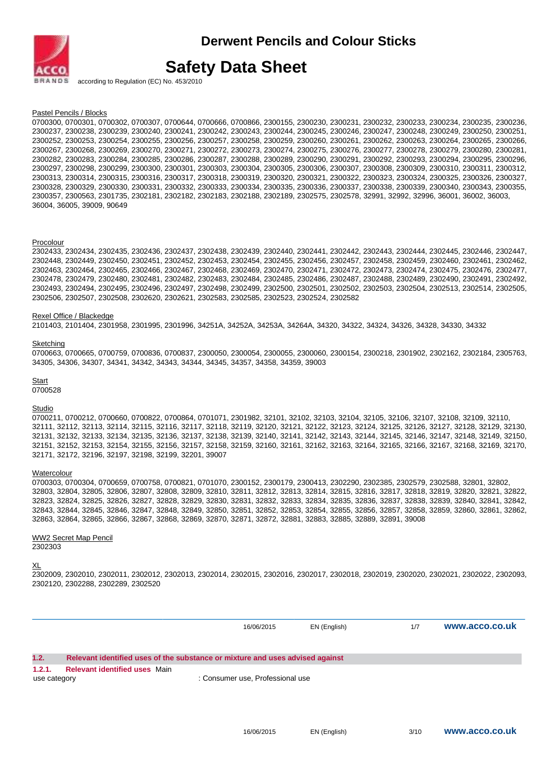

## **Safety Data Sheet**

according to Regulation (EC) No. 453/2010

Pastel Pencils / Blocks

0700300, 0700301, 0700302, 0700307, 0700644, 0700666, 0700866, 2300155, 2300230, 2300231, 2300232, 2300233, 2300234, 2300235, 2300236, 2300237, 2300238, 2300239, 2300240, 2300241, 2300242, 2300243, 2300244, 2300245, 2300246, 2300247, 2300248, 2300249, 2300250, 2300251, 2300252, 2300253, 2300254, 2300255, 2300256, 2300257, 2300258, 2300259, 2300260, 2300261, 2300262, 2300263, 2300264, 2300265, 2300266, 2300267, 2300268, 2300269, 2300270, 2300271, 2300272, 2300273, 2300274, 2300275, 2300276, 2300277, 2300278, 2300279, 2300280, 2300281, 2300282, 2300283, 2300284, 2300285, 2300286, 2300287, 2300288, 2300289, 2300290, 2300291, 2300292, 2300293, 2300294, 2300295, 2300296, 2300297, 2300298, 2300299, 2300300, 2300301, 2300303, 2300304, 2300305, 2300306, 2300307, 2300308, 2300309, 2300310, 2300311, 2300312, 2300313, 2300314, 2300315, 2300316, 2300317, 2300318, 2300319, 2300320, 2300321, 2300322, 2300323, 2300324, 2300325, 2300326, 2300327, 2300328, 2300329, 2300330, 2300331, 2300332, 2300333, 2300334, 2300335, 2300336, 2300337, 2300338, 2300339, 2300340, 2300343, 2300355, 2300357, 2300563, 2301735, 2302181, 2302182, 2302183, 2302188, 2302189, 2302575, 2302578, 32991, 32992, 32996, 36001, 36002, 36003, 36004, 36005, 39009, 90649

#### **Procolour**

2302433, 2302434, 2302435, 2302436, 2302437, 2302438, 2302439, 2302440, 2302441, 2302442, 2302443, 2302444, 2302445, 2302446, 2302447, 2302448, 2302449, 2302450, 2302451, 2302452, 2302453, 2302454, 2302455, 2302456, 2302457, 2302458, 2302459, 2302460, 2302461, 2302462, 2302463, 2302464, 2302465, 2302466, 2302467, 2302468, 2302469, 2302470, 2302471, 2302472, 2302473, 2302474, 2302475, 2302476, 2302477, 2302478, 2302479, 2302480, 2302481, 2302482, 2302483, 2302484, 2302485, 2302486, 2302487, 2302488, 2302489, 2302490, 2302491, 2302492, 2302493, 2302494, 2302495, 2302496, 2302497, 2302498, 2302499, 2302500, 2302501, 2302502, 2302503, 2302504, 2302513, 2302514, 2302505, 2302506, 2302507, 2302508, 2302620, 2302621, 2302583, 2302585, 2302523, 2302524, 2302582

#### Rexel Office / Blackedge

2101403, 2101404, 2301958, 2301995, 2301996, 34251A, 34252A, 34253A, 34264A, 34320, 34322, 34324, 34326, 34328, 34330, 34332

#### **Sketching**

0700663, 0700665, 0700759, 0700836, 0700837, 2300050, 2300054, 2300055, 2300060, 2300154, 2300218, 2301902, 2302162, 2302184, 2305763, 34305, 34306, 34307, 34341, 34342, 34343, 34344, 34345, 34357, 34358, 34359, 39003

**Start** 

### 0700528

Studio

0700211, 0700212, 0700660, 0700822, 0700864, 0701071, 2301982, 32101, 32102, 32103, 32104, 32105, 32106, 32107, 32108, 32109, 32110, 32111, 32112, 32113, 32114, 32115, 32116, 32117, 32118, 32119, 32120, 32121, 32122, 32123, 32124, 32125, 32126, 32127, 32128, 32129, 32130, 32131, 32132, 32133, 32134, 32135, 32136, 32137, 32138, 32139, 32140, 32141, 32142, 32143, 32144, 32145, 32146, 32147, 32148, 32149, 32150, 32151, 32152, 32153, 32154, 32155, 32156, 32157, 32158, 32159, 32160, 32161, 32162, 32163, 32164, 32165, 32166, 32167, 32168, 32169, 32170, 32171, 32172, 32196, 32197, 32198, 32199, 32201, 39007

#### **Watercolour**

0700303, 0700304, 0700659, 0700758, 0700821, 0701070, 2300152, 2300179, 2300413, 2302290, 2302385, 2302579, 2302588, 32801, 32802, 32803, 32804, 32805, 32806, 32807, 32808, 32809, 32810, 32811, 32812, 32813, 32814, 32815, 32816, 32817, 32818, 32819, 32820, 32821, 32822, 32823, 32824, 32825, 32826, 32827, 32828, 32829, 32830, 32831, 32832, 32833, 32834, 32835, 32836, 32837, 32838, 32839, 32840, 32841, 32842, 32843, 32844, 32845, 32846, 32847, 32848, 32849, 32850, 32851, 32852, 32853, 32854, 32855, 32856, 32857, 32858, 32859, 32860, 32861, 32862, 32863, 32864, 32865, 32866, 32867, 32868, 32869, 32870, 32871, 32872, 32881, 32883, 32885, 32889, 32891, 39008

#### WW2 Secret Map Pencil 2302303

#### XL

2302009, 2302010, 2302011, 2302012, 2302013, 2302014, 2302015, 2302016, 2302017, 2302018, 2302019, 2302020, 2302021, 2302022, 2302093, 2302120, 2302288, 2302289, 2302520

16/06/2015 EN (English) 1/7 **www.acco.co.uk 1.2. Relevant identified uses of the substance or mixture and uses advised against 1.2.1. Relevant identified uses** Main use category : Consumer use, Professional use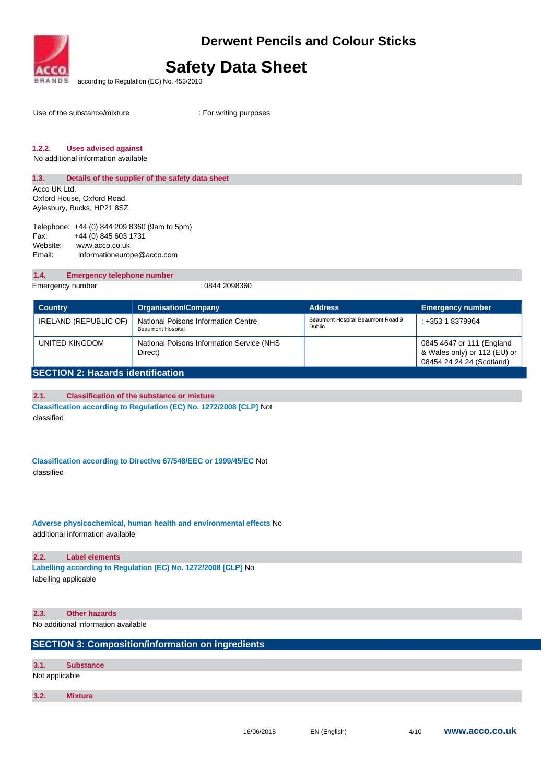

## **Safety Data Sheet**

according to Regulation (EC) No. 453/2010

Use of the substance/mixture

: For writing purposes

## **1.2.2. Uses advised against**

No additional information available

### **1.3. Details of the supplier of the safety data sheet**

Acco UK Ltd. Oxford House, Oxford Road, Aylesbury, Bucks, HP21 8SZ.

Telephone: +44 (0) 844 209 8360 (9am to 5pm) Fax: +44 (0) 845 603 1731 Website: www.acco.co.uk Email: informationeurope@acco.com

## **1.4. Emergency telephone number**

Emergency number : 0844 2098360

| <b>Country</b>                           | <b>Organisation/Company</b>                                     | <b>Address</b>                              | <b>Emergency number</b>                                                                |
|------------------------------------------|-----------------------------------------------------------------|---------------------------------------------|----------------------------------------------------------------------------------------|
| IRELAND (REPUBLIC OF)                    | National Poisons Information Centre<br><b>Beaumont Hospital</b> | Beaumont Hospital Beaumont Road 9<br>Dublin | $: +35318379964$                                                                       |
| UNITED KINGDOM                           | National Poisons Information Service (NHS<br>Direct)            |                                             | 0845 4647 or 111 (England<br>& Wales only) or 112 (EU) or<br>08454 24 24 24 (Scotland) |
| <b>SECTION 2: Hazards identification</b> |                                                                 |                                             |                                                                                        |

### **2.1. Classification of the substance or mixture**

**Classification according to Regulation (EC) No. 1272/2008 [CLP]** Not classified

**Classification according to Directive 67/548/EEC or 1999/45/EC** Not classified

**Adverse physicochemical, human health and environmental effects** No additional information available

## **2.2. Label elements**

**Labelling according to Regulation (EC) No. 1272/2008 [CLP]** No labelling applicable

### **2.3. Other hazards**

No additional information available

## **SECTION 3: Composition/information on ingredients**

| 3.1. | <b>Substance</b> |  |
|------|------------------|--|
|      | Not applicable   |  |

Not applicable

**3.2. Mixture**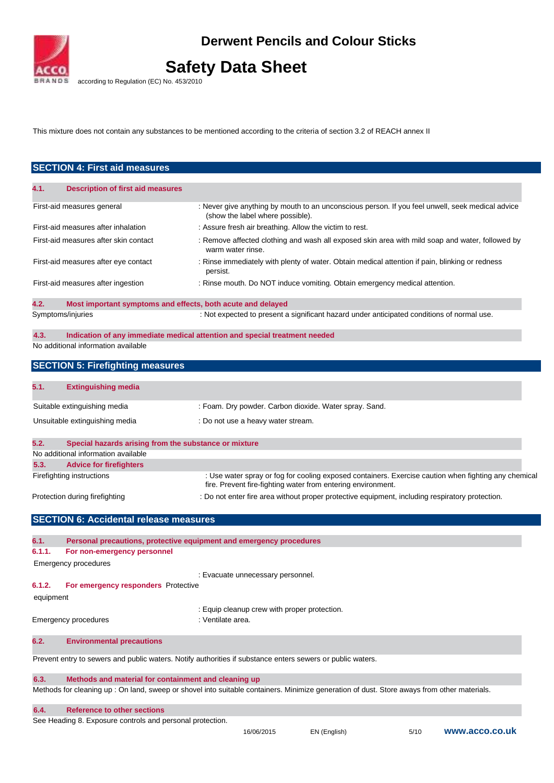

# **Safety Data Sheet**

according to Regulation (EC) No. 453/2010

This mixture does not contain any substances to be mentioned according to the criteria of section 3.2 of REACH annex II

|           | <b>SECTION 4: First aid measures</b>                        |                                                                                                                                                                      |
|-----------|-------------------------------------------------------------|----------------------------------------------------------------------------------------------------------------------------------------------------------------------|
|           |                                                             |                                                                                                                                                                      |
| 4.1.      | <b>Description of first aid measures</b>                    |                                                                                                                                                                      |
|           | First-aid measures general                                  | : Never give anything by mouth to an unconscious person. If you feel unwell, seek medical advice<br>(show the label where possible).                                 |
|           | First-aid measures after inhalation                         | : Assure fresh air breathing. Allow the victim to rest.                                                                                                              |
|           | First-aid measures after skin contact                       | : Remove affected clothing and wash all exposed skin area with mild soap and water, followed by<br>warm water rinse.                                                 |
|           | First-aid measures after eye contact                        | : Rinse immediately with plenty of water. Obtain medical attention if pain, blinking or redness<br>persist.                                                          |
|           | First-aid measures after ingestion                          | : Rinse mouth. Do NOT induce vomiting. Obtain emergency medical attention.                                                                                           |
| 4.2.      | Most important symptoms and effects, both acute and delayed |                                                                                                                                                                      |
|           | Symptoms/injuries                                           | : Not expected to present a significant hazard under anticipated conditions of normal use.                                                                           |
| 4.3.      |                                                             | Indication of any immediate medical attention and special treatment needed                                                                                           |
|           | No additional information available                         |                                                                                                                                                                      |
|           | <b>SECTION 5: Firefighting measures</b>                     |                                                                                                                                                                      |
| 5.1.      | <b>Extinguishing media</b>                                  |                                                                                                                                                                      |
|           |                                                             |                                                                                                                                                                      |
|           | Suitable extinguishing media                                | : Foam. Dry powder. Carbon dioxide. Water spray. Sand.                                                                                                               |
|           | Unsuitable extinguishing media                              | : Do not use a heavy water stream.                                                                                                                                   |
| 5.2.      | Special hazards arising from the substance or mixture       |                                                                                                                                                                      |
|           | No additional information available                         |                                                                                                                                                                      |
| 5.3.      | <b>Advice for firefighters</b>                              |                                                                                                                                                                      |
|           | Firefighting instructions                                   | : Use water spray or fog for cooling exposed containers. Exercise caution when fighting any chemical<br>fire. Prevent fire-fighting water from entering environment. |
|           | Protection during firefighting                              | : Do not enter fire area without proper protective equipment, including respiratory protection.                                                                      |
|           | <b>SECTION 6: Accidental release measures</b>               |                                                                                                                                                                      |
| 6.1.      |                                                             | Personal precautions, protective equipment and emergency procedures                                                                                                  |
| 6.1.1.    | For non-emergency personnel                                 |                                                                                                                                                                      |
|           | <b>Emergency procedures</b>                                 |                                                                                                                                                                      |
|           |                                                             | : Evacuate unnecessary personnel.                                                                                                                                    |
| 6.1.2.    | <b>For emergency responders</b> Protective                  |                                                                                                                                                                      |
| equipment |                                                             |                                                                                                                                                                      |
|           |                                                             | : Equip cleanup crew with proper protection.                                                                                                                         |
|           | <b>Emergency procedures</b>                                 | : Ventilate area.                                                                                                                                                    |
| 6.2.      | <b>Environmental precautions</b>                            |                                                                                                                                                                      |
|           |                                                             | Prevent entry to sewers and public waters. Notify authorities if substance enters sewers or public waters.                                                           |
| 6.3.      | Methods and material for containment and cleaning up        |                                                                                                                                                                      |
|           |                                                             | Methods for cleaning up : On land, sweep or shovel into suitable containers. Minimize generation of dust. Store aways from other materials.                          |

## **6.4. Reference to other sections**

See Heading 8. Exposure controls and personal protection.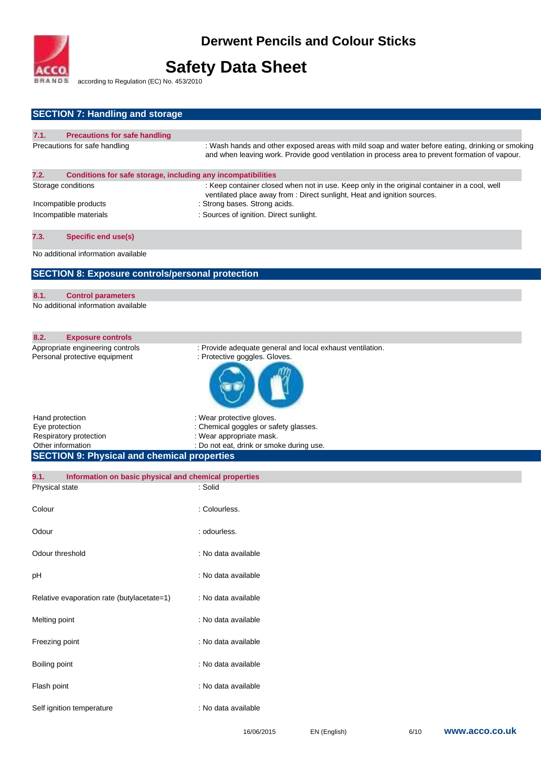

according to Regulation (EC) No. 453/2010

| <b>SECTION 7: Handling and storage</b>                                                                                                        |                                                                                                                                                                                                                                                      |
|-----------------------------------------------------------------------------------------------------------------------------------------------|------------------------------------------------------------------------------------------------------------------------------------------------------------------------------------------------------------------------------------------------------|
| 7.1.                                                                                                                                          |                                                                                                                                                                                                                                                      |
| <b>Precautions for safe handling</b><br>Precautions for safe handling                                                                         | : Wash hands and other exposed areas with mild soap and water before eating, drinking or smoking<br>and when leaving work. Provide good ventilation in process area to prevent formation of vapour.                                                  |
| 7.2.<br>Conditions for safe storage, including any incompatibilities<br>Storage conditions<br>Incompatible products<br>Incompatible materials | : Keep container closed when not in use. Keep only in the original container in a cool, well<br>ventilated place away from : Direct sunlight, Heat and ignition sources.<br>: Strong bases. Strong acids.<br>: Sources of ignition. Direct sunlight. |
| <b>Specific end use(s)</b><br>7.3.                                                                                                            |                                                                                                                                                                                                                                                      |
| No additional information available                                                                                                           |                                                                                                                                                                                                                                                      |
| <b>SECTION 8: Exposure controls/personal protection</b>                                                                                       |                                                                                                                                                                                                                                                      |
| 8.1.<br><b>Control parameters</b><br>No additional information available                                                                      |                                                                                                                                                                                                                                                      |
| 8.2.<br><b>Exposure controls</b>                                                                                                              |                                                                                                                                                                                                                                                      |
| Appropriate engineering controls<br>Personal protective equipment                                                                             | : Provide adequate general and local exhaust ventilation.<br>: Protective goggles. Gloves.                                                                                                                                                           |
|                                                                                                                                               |                                                                                                                                                                                                                                                      |
| Hand protection<br>Eye protection<br>Respiratory protection<br>Other information                                                              | : Wear protective gloves.<br>: Chemical goggles or safety glasses.<br>: Wear appropriate mask.<br>: Do not eat, drink or smoke during use.                                                                                                           |
| <b>SECTION 9: Physical and chemical properties</b>                                                                                            |                                                                                                                                                                                                                                                      |
| Information on basic physical and chemical properties<br>9.1.                                                                                 |                                                                                                                                                                                                                                                      |
| Physical state                                                                                                                                | : Solid                                                                                                                                                                                                                                              |
| Colour                                                                                                                                        | : Colourless.                                                                                                                                                                                                                                        |
| Odour                                                                                                                                         | : odourless.                                                                                                                                                                                                                                         |
| Odour threshold                                                                                                                               |                                                                                                                                                                                                                                                      |
|                                                                                                                                               | : No data available                                                                                                                                                                                                                                  |
|                                                                                                                                               | : No data available                                                                                                                                                                                                                                  |
| pH<br>Relative evaporation rate (butylacetate=1)                                                                                              | : No data available                                                                                                                                                                                                                                  |
| Melting point                                                                                                                                 | : No data available                                                                                                                                                                                                                                  |
| Freezing point                                                                                                                                | : No data available                                                                                                                                                                                                                                  |
| Boiling point                                                                                                                                 | : No data available                                                                                                                                                                                                                                  |
| Flash point                                                                                                                                   | : No data available                                                                                                                                                                                                                                  |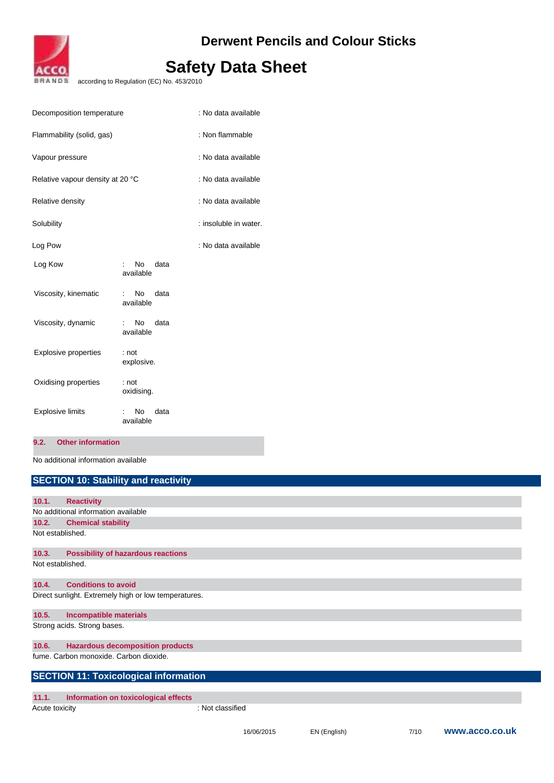

according to Regulation (EC) No. 453/2010

| Decomposition temperature        |                                     | : No data available   |
|----------------------------------|-------------------------------------|-----------------------|
| Flammability (solid, gas)        |                                     | : Non flammable       |
| Vapour pressure                  |                                     | : No data available   |
| Relative vapour density at 20 °C |                                     | : No data available   |
| Relative density                 |                                     | : No data available   |
| Solubility                       |                                     | : insoluble in water. |
| Log Pow                          |                                     | : No data available   |
| Log Kow                          | No.<br>data<br>available            |                       |
| Viscosity, kinematic             | No.<br>data<br>available            |                       |
| Viscosity, dynamic               | data<br>No.<br>available            |                       |
| <b>Explosive properties</b>      | : not<br>explosive.                 |                       |
| Oxidising properties             | : not<br>oxidising.                 |                       |
| <b>Explosive limits</b>          | N <sub>o</sub><br>data<br>available |                       |

## **9.2. Other information**

No additional information available

|                  | <b>SECTION 10: Stability and reactivity</b>          |                  |
|------------------|------------------------------------------------------|------------------|
|                  |                                                      |                  |
| 10.1.            | <b>Reactivity</b>                                    |                  |
|                  | No additional information available                  |                  |
| 10.2.            | <b>Chemical stability</b>                            |                  |
| Not established. |                                                      |                  |
| 10.3.            | <b>Possibility of hazardous reactions</b>            |                  |
| Not established. |                                                      |                  |
| 10.4.            | <b>Conditions to avoid</b>                           |                  |
|                  | Direct sunlight. Extremely high or low temperatures. |                  |
| 10.5.            | <b>Incompatible materials</b>                        |                  |
|                  | Strong acids. Strong bases.                          |                  |
| 10.6.            | <b>Hazardous decomposition products</b>              |                  |
|                  | fume. Carbon monoxide. Carbon dioxide.               |                  |
|                  | <b>SECTION 11: Toxicological information</b>         |                  |
| 11.1.            | Information on toxicological effects                 |                  |
| Acute toxicity   |                                                      | : Not classified |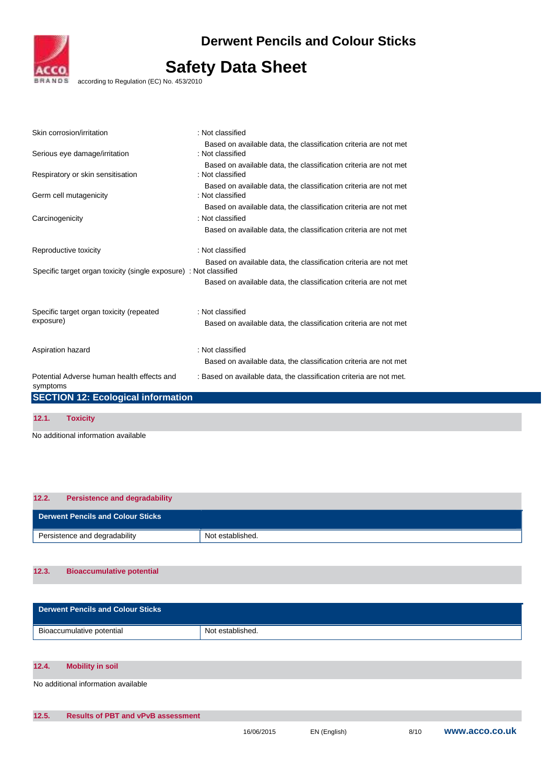

according to Regulation (EC) No. 453/2010

| Skin corrosion/irritation                                         | : Not classified                                                                     |
|-------------------------------------------------------------------|--------------------------------------------------------------------------------------|
| Serious eye damage/irritation                                     | Based on available data, the classification criteria are not met<br>: Not classified |
| Respiratory or skin sensitisation                                 | Based on available data, the classification criteria are not met<br>: Not classified |
| Germ cell mutagenicity                                            | Based on available data, the classification criteria are not met<br>: Not classified |
|                                                                   | Based on available data, the classification criteria are not met                     |
| Carcinogenicity                                                   | : Not classified                                                                     |
|                                                                   | Based on available data, the classification criteria are not met                     |
| Reproductive toxicity                                             | : Not classified                                                                     |
| Specific target organ toxicity (single exposure) : Not classified | Based on available data, the classification criteria are not met                     |
|                                                                   | Based on available data, the classification criteria are not met                     |
| Specific target organ toxicity (repeated                          | : Not classified                                                                     |
| exposure)                                                         | Based on available data, the classification criteria are not met                     |
| Aspiration hazard                                                 | : Not classified                                                                     |
|                                                                   | Based on available data, the classification criteria are not met                     |
| Potential Adverse human health effects and<br>symptoms            | : Based on available data, the classification criteria are not met.                  |
| <b>SECTION 12: Ecological information</b>                         |                                                                                      |
|                                                                   |                                                                                      |
| 12.1.<br><b>Toxicity</b>                                          |                                                                                      |

No additional information available

| 12.2. | <b>Persistence and degradability</b>     |                  |
|-------|------------------------------------------|------------------|
|       | <b>Derwent Pencils and Colour Sticks</b> |                  |
|       | Persistence and degradability            | Not established. |

## **12.3. Bioaccumulative potential**

| <b>Derwent Pencils and Colour Sticks</b> |                  |
|------------------------------------------|------------------|
| Bioaccumulative potential                | Not established. |

## **12.4. Mobility in soil**

No additional information available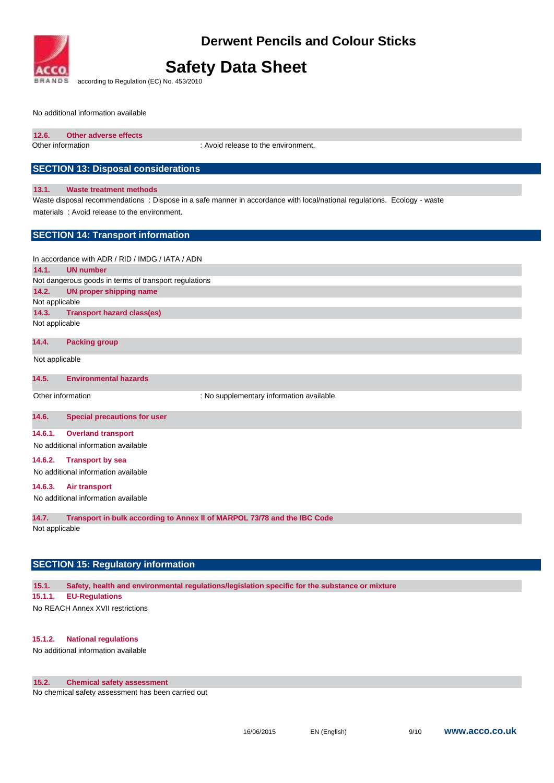

## **Safety Data Sheet**

according to Regulation (EC) No. 453/2010

No additional information available

| Other adverse effects | 12.6. |  |  |  |
|-----------------------|-------|--|--|--|
|-----------------------|-------|--|--|--|

Other information : Avoid release to the environment.

## **SECTION 13: Disposal considerations**

#### **13.1. Waste treatment methods**

Waste disposal recommendations : Dispose in a safe manner in accordance with local/national regulations. Ecology - waste materials : Avoid release to the environment.

## **SECTION 14: Transport information**

In accordance with ADR / RID / IMDG / IATA / ADN **14.1. UN number**  Not dangerous goods in terms of transport regulations **14.2. UN proper shipping name**  Not applicable **14.3. Transport hazard class(es)**  Not applicable

### **14.4. Packing group**

Not applicable

### **14.5. Environmental hazards**

Other information **interest in the contract of the supplementary information available.** 

### **14.6. Special precautions for user**

#### **14.6.1. Overland transport**

No additional information available

### **14.6.2. Transport by sea**

No additional information available

### **14.6.3. Air transport**

No additional information available

**14.7. Transport in bulk according to Annex II of MARPOL 73/78 and the IBC Code** 

Not applicable

## **SECTION 15: Regulatory information**

**15.1. Safety, health and environmental regulations/legislation specific for the substance or mixture** 

### **15.1.1. EU-Regulations**

No REACH Annex XVII restrictions

### **15.1.2. National regulations**

No additional information available

## **15.2. Chemical safety assessment**

No chemical safety assessment has been carried out